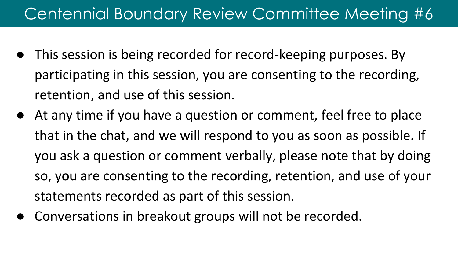## Centennial Boundary Review Committee Meeting #6

- This session is being recorded for record-keeping purposes. By participating in this session, you are consenting to the recording, retention, and use of this session.
- At any time if you have a question or comment, feel free to place that in the chat, and we will respond to you as soon as possible. If you ask a question or comment verbally, please note that by doing so, you are consenting to the recording, retention, and use of your statements recorded as part of this session.
- Conversations in breakout groups will not be recorded.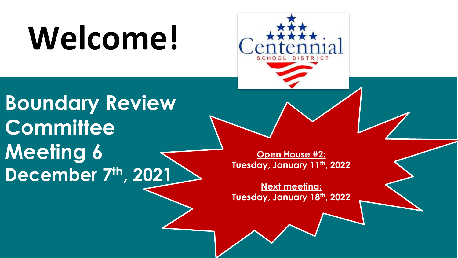# **Welcome!**



**Boundary Review Committee Meeting 6 December 7th, 2021**

**Open House #2: Tuesday, January 11th, 2022**

**Next meeting: Tuesday, January 18th, 2022**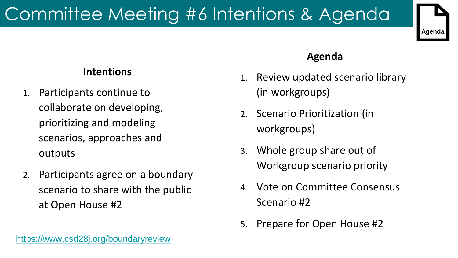# Committee Meeting #6 Intentions & Agenda



### **Intentions**

- 1. Participants continue to collaborate on developing, prioritizing and modeling scenarios, approaches and outputs
- 2. Participants agree on a boundary scenario to share with the public at Open House #2

### **Agenda**

- 1. Review updated scenario library (in workgroups)
- 2. Scenario Prioritization (in workgroups)
- 3. Whole group share out of Workgroup scenario priority
- 4. Vote on Committee Consensus Scenario #2
- 5. Prepare for Open House #2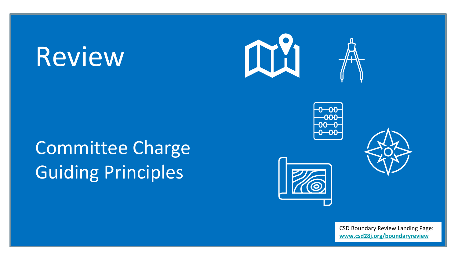# Review

## Committee Charge Guiding Principles









CSD Boundary Review Landing Page: **[www.csd28j.org/boundaryreview](http://www.csd28j.org/boundaryreview)**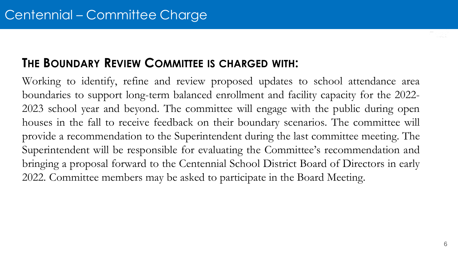### **THE BOUNDARY REVIEW COMMITTEE IS CHARGED WITH:**

Working to identify, refine and review proposed updates to school attendance area boundaries to support long-term balanced enrollment and facility capacity for the 2022- 2023 school year and beyond. The committee will engage with the public during open houses in the fall to receive feedback on their boundary scenarios. The committee will provide a recommendation to the Superintendent during the last committee meeting. The Superintendent will be responsible for evaluating the Committee's recommendation and bringing a proposal forward to the Centennial School District Board of Directors in early 2022. Committee members may be asked to participate in the Board Meeting.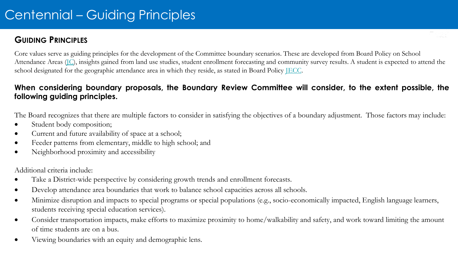### Centennial – Guiding Principles

#### **GUIDING PRINCIPLES**

Core values serve as guiding principles for the development of the Committee boundary scenarios. These are developed from Board Policy on School Attendance Areas (IC), insights gained from land use studies, student enrollment forecasting and community survey results. A student is expected to attend the school designated for the geographic attendance area in which they reside, as stated in Board Policy [JECC.](https://policy.osba.org/centennial/J/JECC%20D1.PDF)

#### **When considering boundary proposals, the Boundary Review Committee will consider, to the extent possible, the following guiding principles.**

The Board recognizes that there are multiple factors to consider in satisfying the objectives of a boundary adjustment. Those factors may include:

- Student body composition;
- Current and future availability of space at a school;
- Feeder patterns from elementary, middle to high school; and
- Neighborhood proximity and accessibility

Additional criteria include:

- Take a District-wide perspective by considering growth trends and enrollment forecasts.
- Develop attendance area boundaries that work to balance school capacities across all schools.
- Minimize disruption and impacts to special programs or special populations (e.g., socio-economically impacted, English language learners, students receiving special education services).
- Consider transportation impacts, make efforts to maximize proximity to home/walkability and safety, and work toward limiting the amount of time students are on a bus.
- Viewing boundaries with an equity and demographic lens.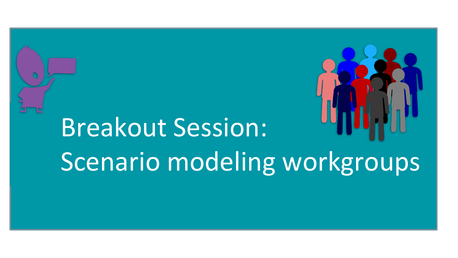



# Breakout Session: Scenario modeling workgroups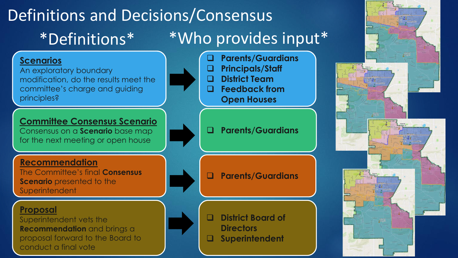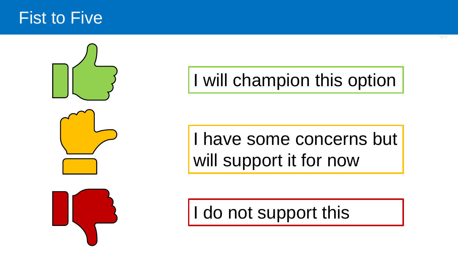## Fist to Five



## I will champion this option

I have some concerns but will support it for now

I do not support this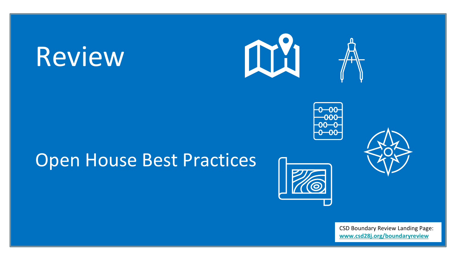# Review







## Open House Best Practices



CSD Boundary Review Landing Page: **[www.csd28j.org/boundaryreview](http://www.csd28j.org/boundaryreview)**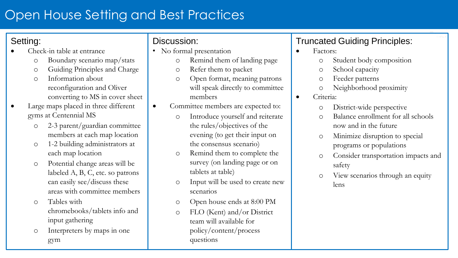## Open House Setting and Best Practices

### Setting:

- Check-in table at entrance
	- o Boundary scenario map/stats
	- o Guiding Principles and Charge
	- o Information about reconfiguration and Oliver converting to MS in cover sheet
- Large maps placed in three different gyms at Centennial MS
	- o 2-3 parent/guardian committee members at each map location
	- o 1-2 building administrators at each map location
	- o Potential change areas will be labeled A, B, C, etc. so patrons can easily see/discuss these areas with committee members
	- o Tables with chromebooks/tablets info and input gathering
	- o Interpreters by maps in one gym

### Discussion:

- No formal presentation
	- o Remind them of landing page
	- o Refer them to packet
	- o Open format, meaning patrons will speak directly to committee members
- Committee members are expected to:
	- o Introduce yourself and reiterate the rules/objectives of the evening (to get their input on the consensus scenario)
	- o Remind them to complete the survey (on landing page or on tablets at table)
	- o Input will be used to create new scenarios
	- o Open house ends at 8:00 PM
	- o FLO (Kent) and/or District team will available for policy/content/process questions

### Truncated Guiding Principles:

- Factors:
	- o Student body composition
	- o School capacity
	- o Feeder patterns
	- o Neighborhood proximity
- Criteria:
	- o District-wide perspective
	- o Balance enrollment for all schools now and in the future
	- o Minimize disruption to special programs or populations
	- o Consider transportation impacts and safety
	- o View scenarios through an equity lens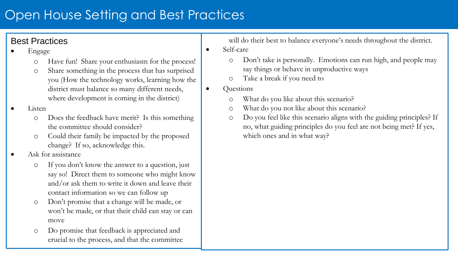### Open House Setting and Best Practices

### Best Practices

- Engage
	- o Have fun! Share your enthusiasm for the process!
	- o Share something in the process that has surprised you (How the technology works, learning how the district must balance so many different needs, where development is coming in the district)

#### • Listen

- o Does the feedback have merit? Is this something the committee should consider?
- o Could their family be impacted by the proposed change? If so, acknowledge this.
- Ask for assistance
	- o If you don't know the answer to a question, just say so! Direct them to someone who might know and/or ask them to write it down and leave their contact information so we can follow up
	- o Don't promise that a change will be made, or won't be made, or that their child can stay or can move
	- o Do promise that feedback is appreciated and crucial to the process, and that the committee

will do their best to balance everyone's needs throughout the district.

- Self-care
	- o Don't take is personally. Emotions can run high, and people may say things or behave in unproductive ways
	- o Take a break if you need to
- Questions
	- o What do you like about this scenario?
	- o What do you not like about this scenario?
	- o Do you feel like this scenario aligns with the guiding principles? If no, what guiding principles do you feel are not being met? If yes, which ones and in what way?